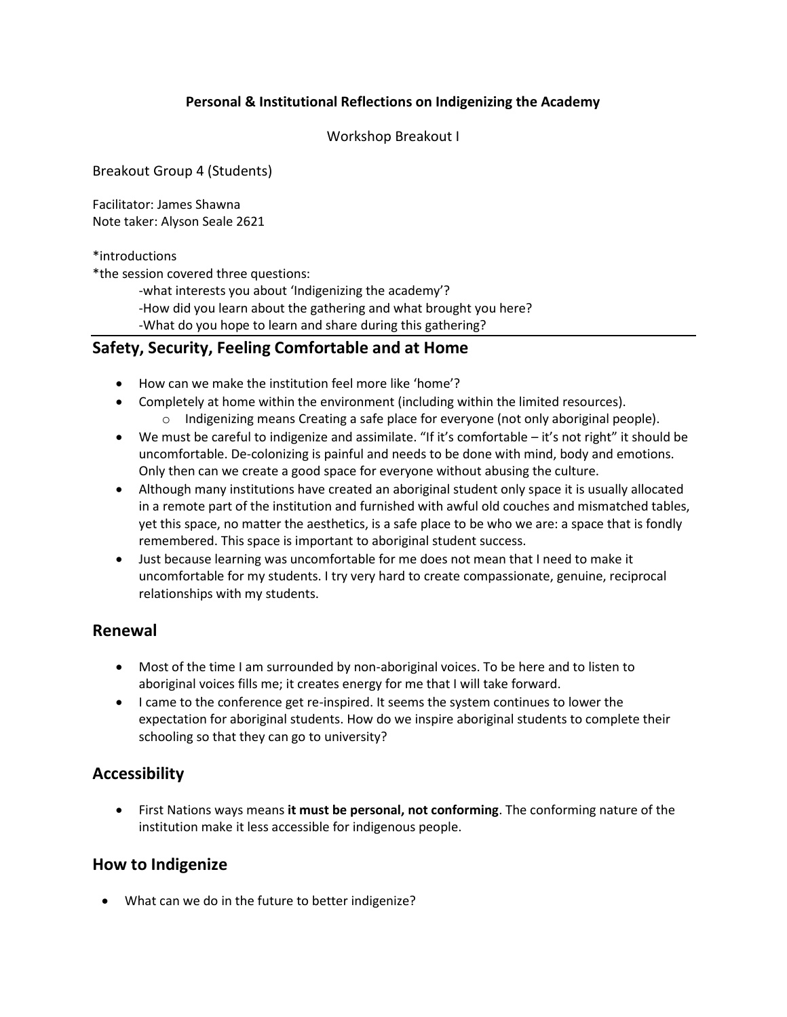#### **Personal & Institutional Reflections on Indigenizing the Academy**

#### Workshop Breakout I

Breakout Group 4 (Students)

Facilitator: James Shawna Note taker: Alyson Seale 2621

#### \*introductions

\*the session covered three questions:

-what interests you about 'Indigenizing the academy'?

-How did you learn about the gathering and what brought you here?

-What do you hope to learn and share during this gathering?

#### **Safety, Security, Feeling Comfortable and at Home**

- How can we make the institution feel more like 'home'?
- Completely at home within the environment (including within the limited resources).  $\circ$  Indigenizing means Creating a safe place for everyone (not only aboriginal people).
- We must be careful to indigenize and assimilate. "If it's comfortable it's not right" it should be uncomfortable. De-colonizing is painful and needs to be done with mind, body and emotions. Only then can we create a good space for everyone without abusing the culture.
- Although many institutions have created an aboriginal student only space it is usually allocated in a remote part of the institution and furnished with awful old couches and mismatched tables, yet this space, no matter the aesthetics, is a safe place to be who we are: a space that is fondly remembered. This space is important to aboriginal student success.
- Just because learning was uncomfortable for me does not mean that I need to make it uncomfortable for my students. I try very hard to create compassionate, genuine, reciprocal relationships with my students.

#### **Renewal**

- Most of the time I am surrounded by non-aboriginal voices. To be here and to listen to aboriginal voices fills me; it creates energy for me that I will take forward.
- I came to the conference get re-inspired. It seems the system continues to lower the expectation for aboriginal students. How do we inspire aboriginal students to complete their schooling so that they can go to university?

#### **Accessibility**

 First Nations ways means **it must be personal, not conforming**. The conforming nature of the institution make it less accessible for indigenous people.

#### **How to Indigenize**

What can we do in the future to better indigenize?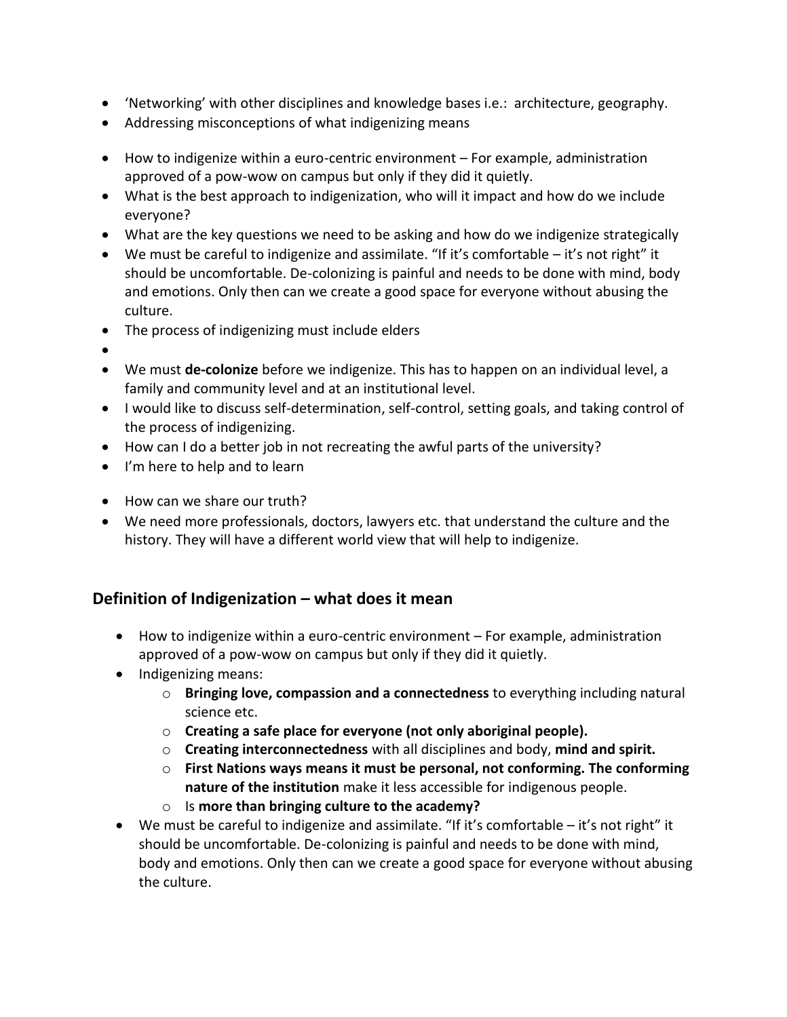- 'Networking' with other disciplines and knowledge bases i.e.: architecture, geography.
- Addressing misconceptions of what indigenizing means
- How to indigenize within a euro-centric environment For example, administration approved of a pow-wow on campus but only if they did it quietly.
- What is the best approach to indigenization, who will it impact and how do we include everyone?
- What are the key questions we need to be asking and how do we indigenize strategically
- We must be careful to indigenize and assimilate. "If it's comfortable it's not right" it should be uncomfortable. De-colonizing is painful and needs to be done with mind, body and emotions. Only then can we create a good space for everyone without abusing the culture.
- The process of indigenizing must include elders
- $\bullet$
- We must **de-colonize** before we indigenize. This has to happen on an individual level, a family and community level and at an institutional level.
- I would like to discuss self-determination, self-control, setting goals, and taking control of the process of indigenizing.
- How can I do a better job in not recreating the awful parts of the university?
- I'm here to help and to learn
- How can we share our truth?
- We need more professionals, doctors, lawyers etc. that understand the culture and the history. They will have a different world view that will help to indigenize.

## **Definition of Indigenization – what does it mean**

- How to indigenize within a euro-centric environment For example, administration approved of a pow-wow on campus but only if they did it quietly.
- Indigenizing means:
	- o **Bringing love, compassion and a connectedness** to everything including natural science etc.
	- o **Creating a safe place for everyone (not only aboriginal people).**
	- o **Creating interconnectedness** with all disciplines and body, **mind and spirit.**
	- o **First Nations ways means it must be personal, not conforming. The conforming nature of the institution** make it less accessible for indigenous people.
	- o Is **more than bringing culture to the academy?**
- We must be careful to indigenize and assimilate. "If it's comfortable it's not right" it should be uncomfortable. De-colonizing is painful and needs to be done with mind, body and emotions. Only then can we create a good space for everyone without abusing the culture.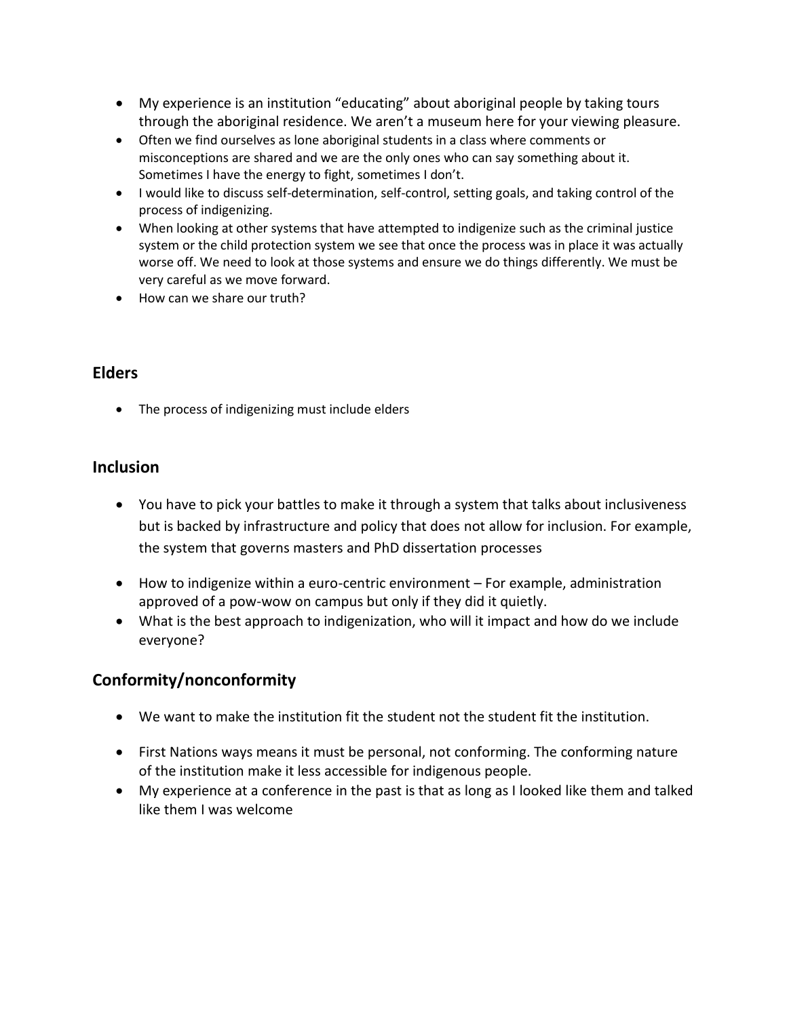- My experience is an institution "educating" about aboriginal people by taking tours through the aboriginal residence. We aren't a museum here for your viewing pleasure.
- Often we find ourselves as lone aboriginal students in a class where comments or misconceptions are shared and we are the only ones who can say something about it. Sometimes I have the energy to fight, sometimes I don't.
- I would like to discuss self-determination, self-control, setting goals, and taking control of the process of indigenizing.
- When looking at other systems that have attempted to indigenize such as the criminal justice system or the child protection system we see that once the process was in place it was actually worse off. We need to look at those systems and ensure we do things differently. We must be very careful as we move forward.
- How can we share our truth?

#### **Elders**

The process of indigenizing must include elders

#### **Inclusion**

- You have to pick your battles to make it through a system that talks about inclusiveness but is backed by infrastructure and policy that does not allow for inclusion. For example, the system that governs masters and PhD dissertation processes
- How to indigenize within a euro-centric environment For example, administration approved of a pow-wow on campus but only if they did it quietly.
- What is the best approach to indigenization, who will it impact and how do we include everyone?

## **Conformity/nonconformity**

- We want to make the institution fit the student not the student fit the institution.
- First Nations ways means it must be personal, not conforming. The conforming nature of the institution make it less accessible for indigenous people.
- My experience at a conference in the past is that as long as I looked like them and talked like them I was welcome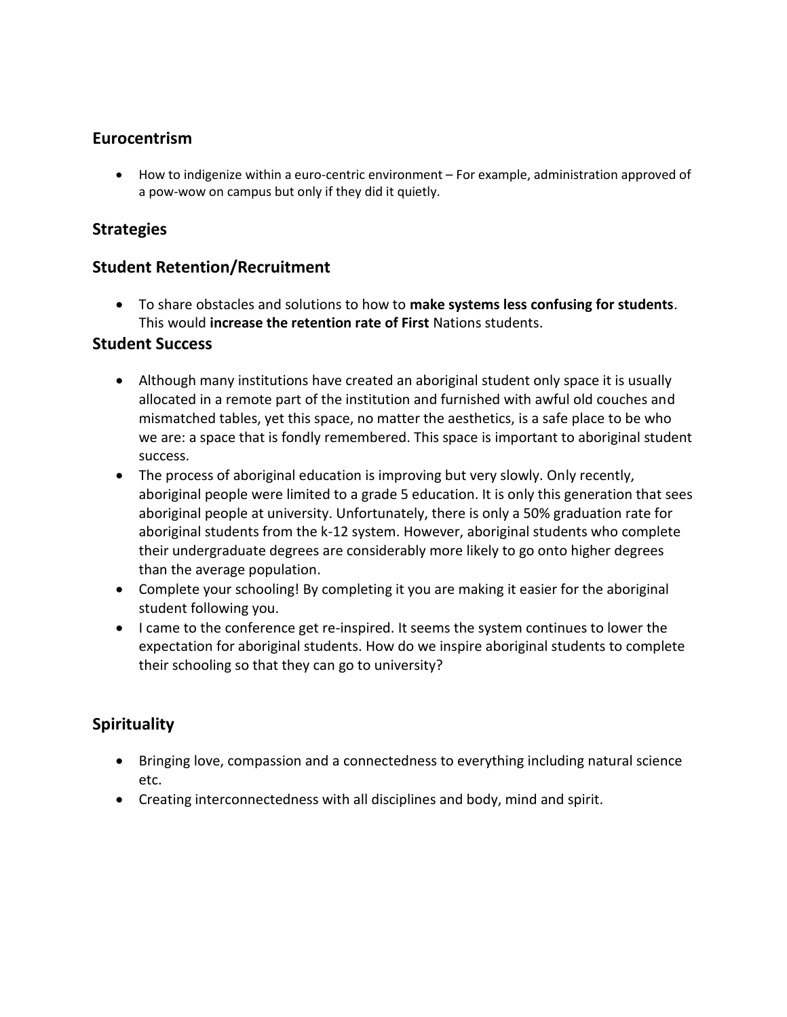#### **Eurocentrism**

 How to indigenize within a euro-centric environment – For example, administration approved of a pow-wow on campus but only if they did it quietly.

### **Strategies**

## **Student Retention/Recruitment**

 To share obstacles and solutions to how to **make systems less confusing for students**. This would **increase the retention rate of First** Nations students.

#### **Student Success**

- Although many institutions have created an aboriginal student only space it is usually allocated in a remote part of the institution and furnished with awful old couches and mismatched tables, yet this space, no matter the aesthetics, is a safe place to be who we are: a space that is fondly remembered. This space is important to aboriginal student success.
- The process of aboriginal education is improving but very slowly. Only recently, aboriginal people were limited to a grade 5 education. It is only this generation that sees aboriginal people at university. Unfortunately, there is only a 50% graduation rate for aboriginal students from the k-12 system. However, aboriginal students who complete their undergraduate degrees are considerably more likely to go onto higher degrees than the average population.
- Complete your schooling! By completing it you are making it easier for the aboriginal student following you.
- I came to the conference get re-inspired. It seems the system continues to lower the expectation for aboriginal students. How do we inspire aboriginal students to complete their schooling so that they can go to university?

## **Spirituality**

- Bringing love, compassion and a connectedness to everything including natural science etc.
- Creating interconnectedness with all disciplines and body, mind and spirit.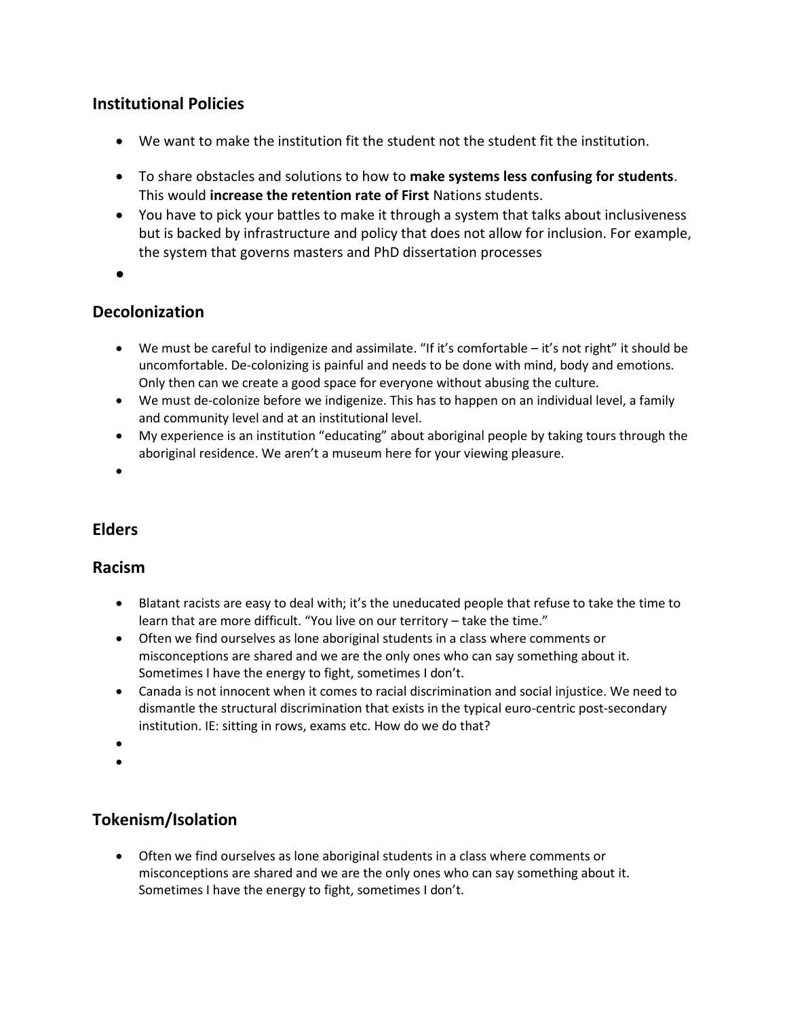## **Institutional Policies**

- We want to make the institution fit the student not the student fit the institution.
- To share obstacles and solutions to how to **make systems less confusing for students**. This would **increase the retention rate of First** Nations students.
- You have to pick your battles to make it through a system that talks about inclusiveness but is backed by infrastructure and policy that does not allow for inclusion. For example, the system that governs masters and PhD dissertation processes
- $\bullet$

## **Decolonization**

- We must be careful to indigenize and assimilate. "If it's comfortable it's not right" it should be uncomfortable. De-colonizing is painful and needs to be done with mind, body and emotions. Only then can we create a good space for everyone without abusing the culture.
- We must de-colonize before we indigenize. This has to happen on an individual level, a family and community level and at an institutional level.
- My experience is an institution "educating" about aboriginal people by taking tours through the aboriginal residence. We aren't a museum here for your viewing pleasure.
- $\bullet$

## **Elders**

#### **Racism**

- Blatant racists are easy to deal with; it's the uneducated people that refuse to take the time to learn that are more difficult. "You live on our territory – take the time."
- Often we find ourselves as lone aboriginal students in a class where comments or misconceptions are shared and we are the only ones who can say something about it. Sometimes I have the energy to fight, sometimes I don't.
- Canada is not innocent when it comes to racial discrimination and social injustice. We need to dismantle the structural discrimination that exists in the typical euro-centric post-secondary institution. IE: sitting in rows, exams etc. How do we do that?
- $\bullet$
- $\bullet$

## **Tokenism/Isolation**

 Often we find ourselves as lone aboriginal students in a class where comments or misconceptions are shared and we are the only ones who can say something about it. Sometimes I have the energy to fight, sometimes I don't.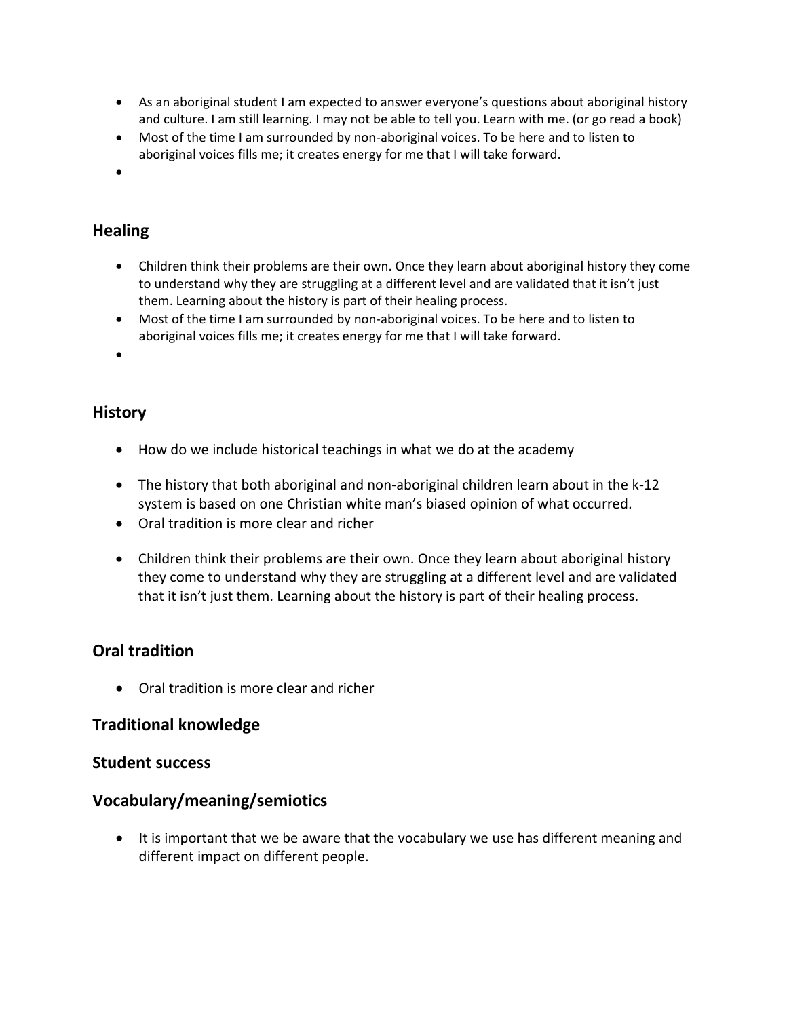- As an aboriginal student I am expected to answer everyone's questions about aboriginal history and culture. I am still learning. I may not be able to tell you. Learn with me. (or go read a book)
- Most of the time I am surrounded by non-aboriginal voices. To be here and to listen to aboriginal voices fills me; it creates energy for me that I will take forward.
- $\bullet$

# **Healing**

- Children think their problems are their own. Once they learn about aboriginal history they come to understand why they are struggling at a different level and are validated that it isn't just them. Learning about the history is part of their healing process.
- Most of the time I am surrounded by non-aboriginal voices. To be here and to listen to aboriginal voices fills me; it creates energy for me that I will take forward.
- $\bullet$

## **History**

- How do we include historical teachings in what we do at the academy
- The history that both aboriginal and non-aboriginal children learn about in the k-12 system is based on one Christian white man's biased opinion of what occurred.
- Oral tradition is more clear and richer
- Children think their problems are their own. Once they learn about aboriginal history they come to understand why they are struggling at a different level and are validated that it isn't just them. Learning about the history is part of their healing process.

## **Oral tradition**

Oral tradition is more clear and richer

## **Traditional knowledge**

#### **Student success**

#### **Vocabulary/meaning/semiotics**

• It is important that we be aware that the vocabulary we use has different meaning and different impact on different people.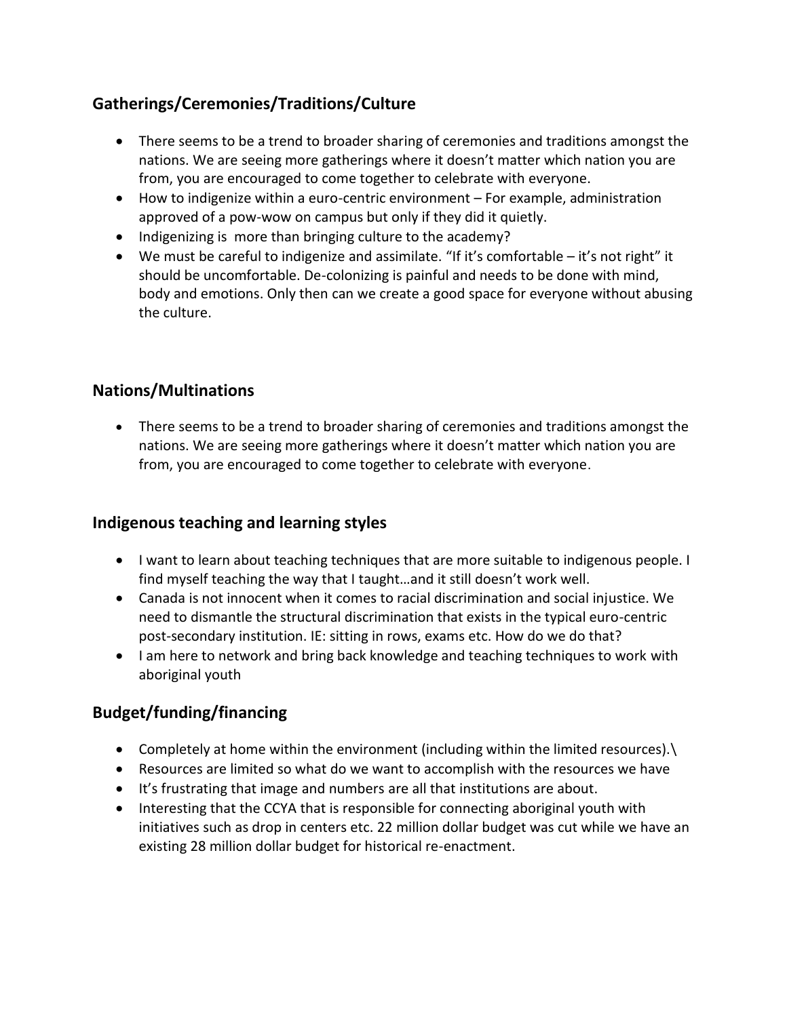# **Gatherings/Ceremonies/Traditions/Culture**

- There seems to be a trend to broader sharing of ceremonies and traditions amongst the nations. We are seeing more gatherings where it doesn't matter which nation you are from, you are encouraged to come together to celebrate with everyone.
- How to indigenize within a euro-centric environment For example, administration approved of a pow-wow on campus but only if they did it quietly.
- Indigenizing is more than bringing culture to the academy?
- We must be careful to indigenize and assimilate. "If it's comfortable it's not right" it should be uncomfortable. De-colonizing is painful and needs to be done with mind, body and emotions. Only then can we create a good space for everyone without abusing the culture.

# **Nations/Multinations**

 There seems to be a trend to broader sharing of ceremonies and traditions amongst the nations. We are seeing more gatherings where it doesn't matter which nation you are from, you are encouraged to come together to celebrate with everyone.

## **Indigenous teaching and learning styles**

- I want to learn about teaching techniques that are more suitable to indigenous people. I find myself teaching the way that I taught…and it still doesn't work well.
- Canada is not innocent when it comes to racial discrimination and social injustice. We need to dismantle the structural discrimination that exists in the typical euro-centric post-secondary institution. IE: sitting in rows, exams etc. How do we do that?
- I am here to network and bring back knowledge and teaching techniques to work with aboriginal youth

# **Budget/funding/financing**

- Completely at home within the environment (including within the limited resources).\
- Resources are limited so what do we want to accomplish with the resources we have
- It's frustrating that image and numbers are all that institutions are about.
- Interesting that the CCYA that is responsible for connecting aboriginal youth with initiatives such as drop in centers etc. 22 million dollar budget was cut while we have an existing 28 million dollar budget for historical re-enactment.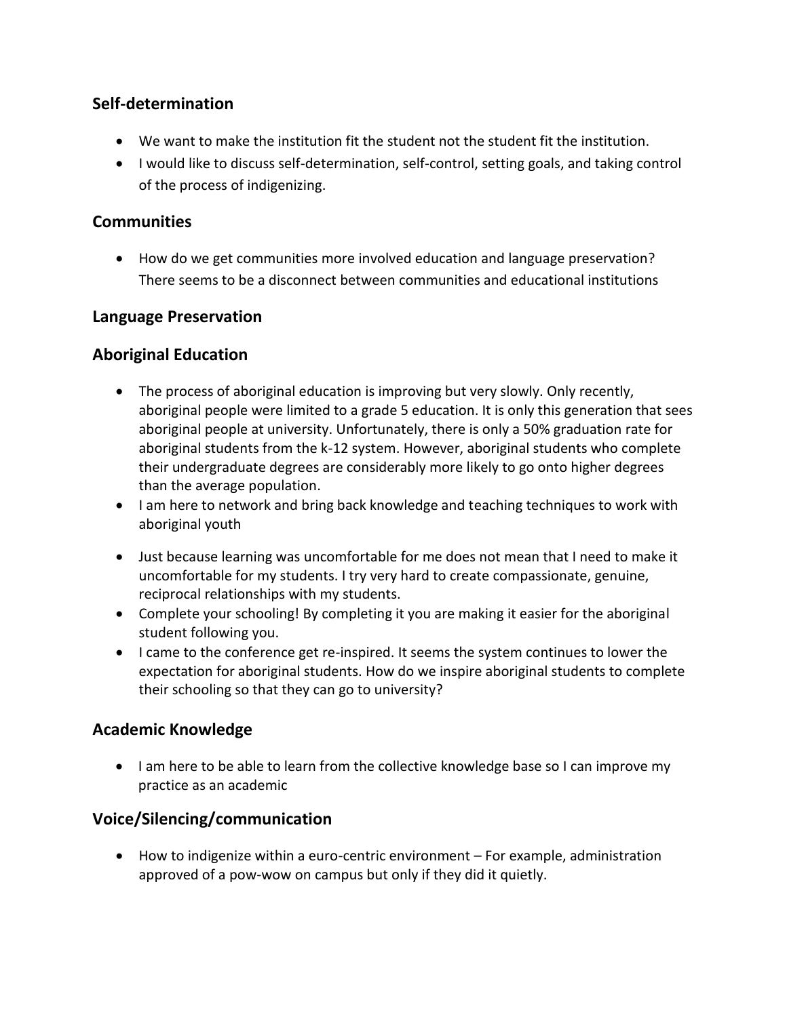# **Self-determination**

- We want to make the institution fit the student not the student fit the institution.
- I would like to discuss self-determination, self-control, setting goals, and taking control of the process of indigenizing.

### **Communities**

 How do we get communities more involved education and language preservation? There seems to be a disconnect between communities and educational institutions

## **Language Preservation**

## **Aboriginal Education**

- The process of aboriginal education is improving but very slowly. Only recently, aboriginal people were limited to a grade 5 education. It is only this generation that sees aboriginal people at university. Unfortunately, there is only a 50% graduation rate for aboriginal students from the k-12 system. However, aboriginal students who complete their undergraduate degrees are considerably more likely to go onto higher degrees than the average population.
- I am here to network and bring back knowledge and teaching techniques to work with aboriginal youth
- Just because learning was uncomfortable for me does not mean that I need to make it uncomfortable for my students. I try very hard to create compassionate, genuine, reciprocal relationships with my students.
- Complete your schooling! By completing it you are making it easier for the aboriginal student following you.
- I came to the conference get re-inspired. It seems the system continues to lower the expectation for aboriginal students. How do we inspire aboriginal students to complete their schooling so that they can go to university?

## **Academic Knowledge**

• I am here to be able to learn from the collective knowledge base so I can improve my practice as an academic

## **Voice/Silencing/communication**

 How to indigenize within a euro-centric environment – For example, administration approved of a pow-wow on campus but only if they did it quietly.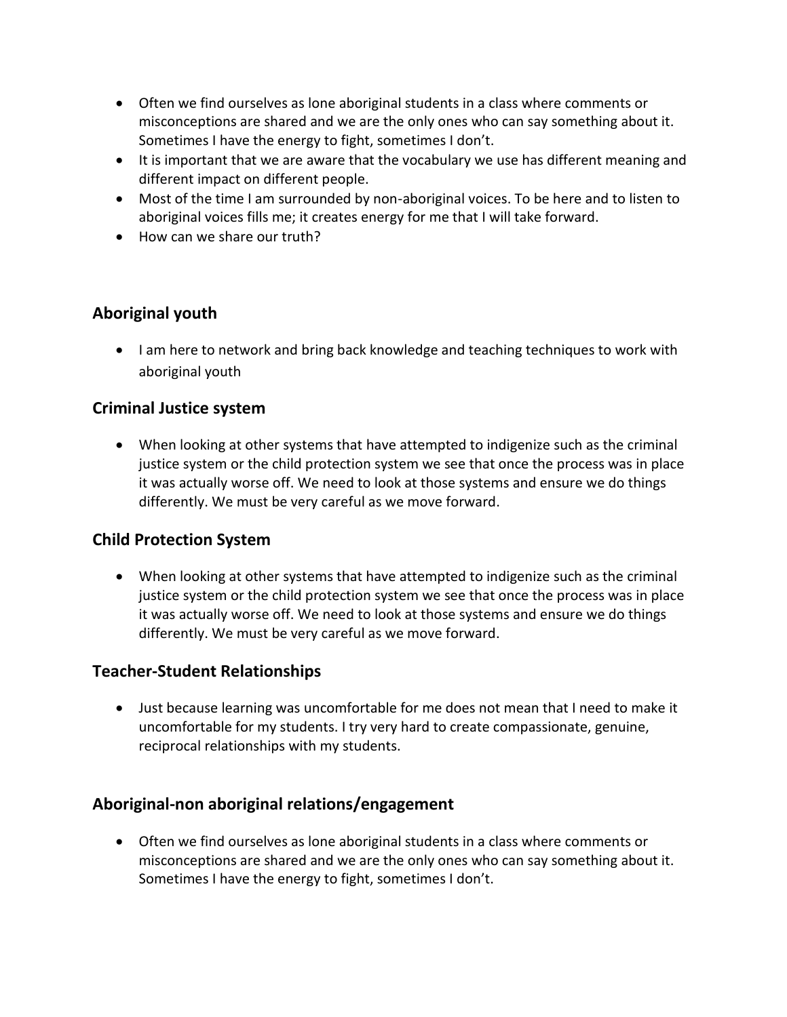- Often we find ourselves as lone aboriginal students in a class where comments or misconceptions are shared and we are the only ones who can say something about it. Sometimes I have the energy to fight, sometimes I don't.
- It is important that we are aware that the vocabulary we use has different meaning and different impact on different people.
- Most of the time I am surrounded by non-aboriginal voices. To be here and to listen to aboriginal voices fills me; it creates energy for me that I will take forward.
- How can we share our truth?

# **Aboriginal youth**

• I am here to network and bring back knowledge and teaching techniques to work with aboriginal youth

## **Criminal Justice system**

 When looking at other systems that have attempted to indigenize such as the criminal justice system or the child protection system we see that once the process was in place it was actually worse off. We need to look at those systems and ensure we do things differently. We must be very careful as we move forward.

#### **Child Protection System**

 When looking at other systems that have attempted to indigenize such as the criminal justice system or the child protection system we see that once the process was in place it was actually worse off. We need to look at those systems and ensure we do things differently. We must be very careful as we move forward.

#### **Teacher-Student Relationships**

 Just because learning was uncomfortable for me does not mean that I need to make it uncomfortable for my students. I try very hard to create compassionate, genuine, reciprocal relationships with my students.

#### **Aboriginal-non aboriginal relations/engagement**

 Often we find ourselves as lone aboriginal students in a class where comments or misconceptions are shared and we are the only ones who can say something about it. Sometimes I have the energy to fight, sometimes I don't.